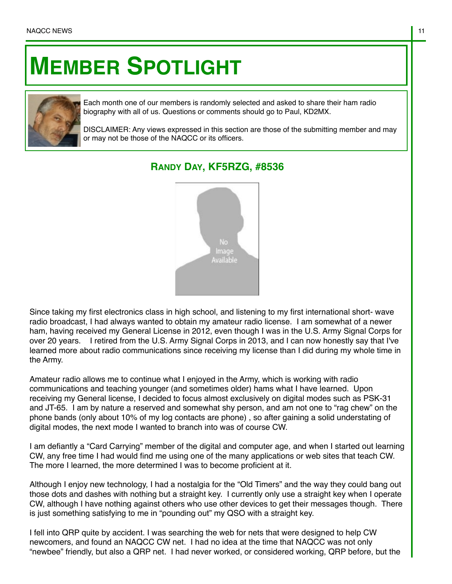## **MEMBER SPOTLIGHT**



Each month one of our members is randomly selected and asked to share their ham radio biography with all of us. Questions or comments should go to Paul, KD2MX.

DISCLAIMER: Any views expressed in this section are those of the submitting member and may or may not be those of the NAQCC or its officers.

## **RANDY DAY, KF5RZG, #8536**



Since taking my first electronics class in high school, and listening to my first international short- wave radio broadcast, I had always wanted to obtain my amateur radio license. I am somewhat of a newer ham, having received my General License in 2012, even though I was in the U.S. Army Signal Corps for over 20 years. I retired from the U.S. Army Signal Corps in 2013, and I can now honestly say that I've learned more about radio communications since receiving my license than I did during my whole time in the Army.

Amateur radio allows me to continue what I enjoyed in the Army, which is working with radio communications and teaching younger (and sometimes older) hams what I have learned. Upon receiving my General license, I decided to focus almost exclusively on digital modes such as PSK-31 and JT-65. I am by nature a reserved and somewhat shy person, and am not one to "rag chew" on the phone bands (only about 10% of my log contacts are phone) , so after gaining a solid understating of digital modes, the next mode I wanted to branch into was of course CW.

I am defiantly a "Card Carrying" member of the digital and computer age, and when I started out learning CW, any free time I had would find me using one of the many applications or web sites that teach CW. The more I learned, the more determined I was to become proficient at it.

Although I enjoy new technology, I had a nostalgia for the "Old Timers" and the way they could bang out those dots and dashes with nothing but a straight key. I currently only use a straight key when I operate CW, although I have nothing against others who use other devices to get their messages though. There is just something satisfying to me in "pounding out" my QSO with a straight key.

I fell into QRP quite by accident. I was searching the web for nets that were designed to help CW newcomers, and found an NAQCC CW net. I had no idea at the time that NAQCC was not only "newbee" friendly, but also a QRP net. I had never worked, or considered working, QRP before, but the